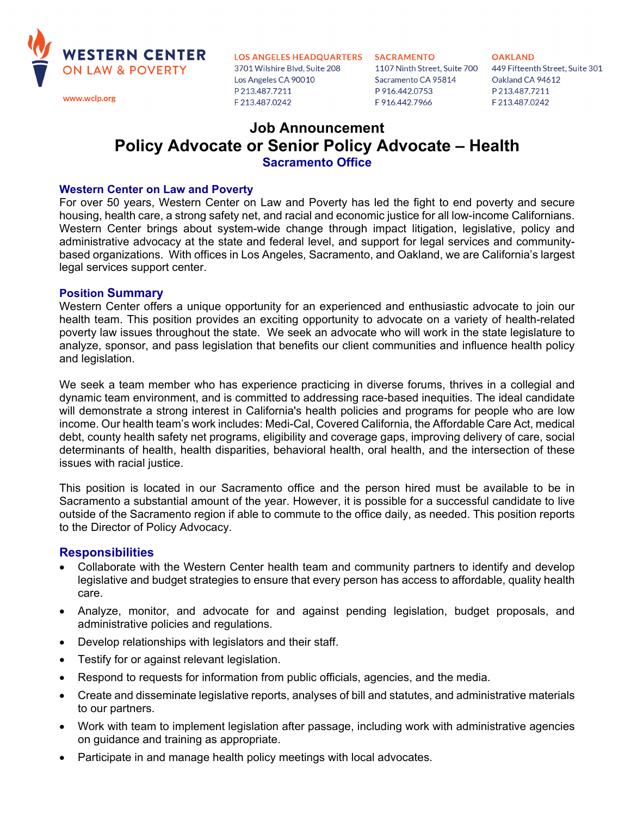

3701 Wilshire Blvd, Suite 208 Los Angeles CA 90010 P213.487.7211 F213.487.0242

Sacramento CA 95814 P 916.442.0753 F916.442.7966

**OAKLAND** 1107 Ninth Street, Suite 700 449 Fifteenth Street, Suite 301 Oakland CA 94612 P213.487.7211 F213.487.0242

# **Job Announcement Policy Advocate or Senior Policy Advocate – Health Sacramento Office**

## **Western Center on Law and Poverty**

For over 50 years, Western Center on Law and Poverty has led the fight to end poverty and secure housing, health care, a strong safety net, and racial and economic justice for all low-income Californians. Western Center brings about system-wide change through impact litigation, legislative, policy and administrative advocacy at the state and federal level, and support for legal services and communitybased organizations. With offices in Los Angeles, Sacramento, and Oakland, we are California's largest legal services support center.

## **Position Summary**

Western Center offers a unique opportunity for an experienced and enthusiastic advocate to join our health team. This position provides an exciting opportunity to advocate on a variety of health-related poverty law issues throughout the state. We seek an advocate who will work in the state legislature to analyze, sponsor, and pass legislation that benefits our client communities and influence health policy and legislation.

We seek a team member who has experience practicing in diverse forums, thrives in a collegial and dynamic team environment, and is committed to addressing race-based inequities. The ideal candidate will demonstrate a strong interest in California's health policies and programs for people who are low income. Our health team's work includes: Medi-Cal, Covered California, the Affordable Care Act, medical debt, county health safety net programs, eligibility and coverage gaps, improving delivery of care, social determinants of health, health disparities, behavioral health, oral health, and the intersection of these issues with racial justice.

This position is located in our Sacramento office and the person hired must be available to be in Sacramento a substantial amount of the year. However, it is possible for a successful candidate to live outside of the Sacramento region if able to commute to the office daily, as needed. This position reports to the Director of Policy Advocacy.

## **Responsibilities**

- Collaborate with the Western Center health team and community partners to identify and develop legislative and budget strategies to ensure that every person has access to affordable, quality health care.
- Analyze, monitor, and advocate for and against pending legislation, budget proposals, and administrative policies and regulations.
- Develop relationships with legislators and their staff.
- Testify for or against relevant legislation.
- Respond to requests for information from public officials, agencies, and the media.
- Create and disseminate legislative reports, analyses of bill and statutes, and administrative materials to our partners.
- Work with team to implement legislation after passage, including work with administrative agencies on guidance and training as appropriate.
- Participate in and manage health policy meetings with local advocates.